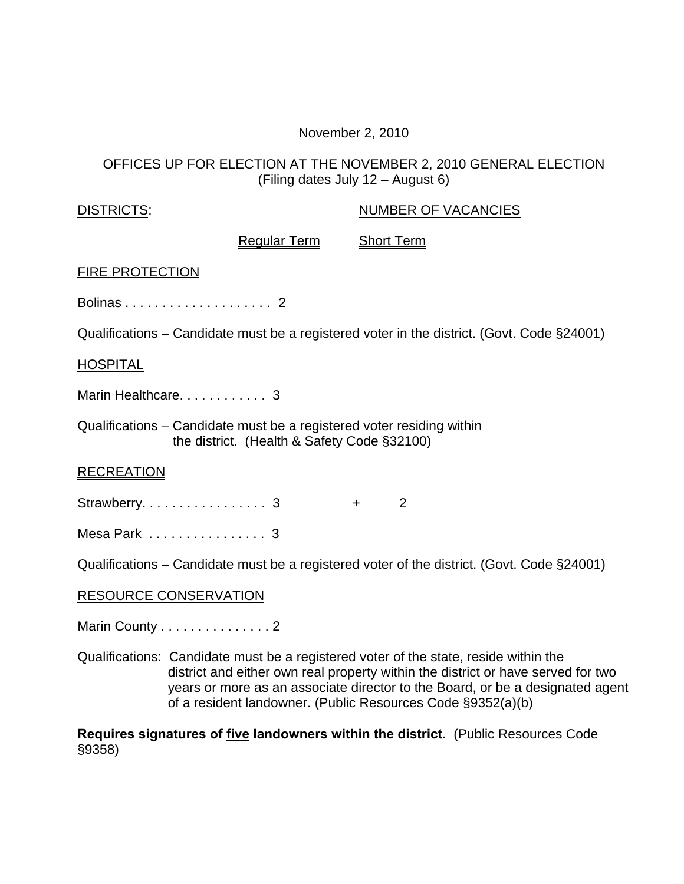## November 2, 2010

## OFFICES UP FOR ELECTION AT THE NOVEMBER 2, 2010 GENERAL ELECTION (Filing dates July 12 – August 6)

| <b>DISTRICTS:</b>                                                                                                                                                                                                                                                                                                        |                                                                                                                      | <b>NUMBER OF VACANCIES</b>                                                                 |  |  |  |
|--------------------------------------------------------------------------------------------------------------------------------------------------------------------------------------------------------------------------------------------------------------------------------------------------------------------------|----------------------------------------------------------------------------------------------------------------------|--------------------------------------------------------------------------------------------|--|--|--|
|                                                                                                                                                                                                                                                                                                                          | <b>Regular Term</b>                                                                                                  | <b>Short Term</b>                                                                          |  |  |  |
| <b>FIRE PROTECTION</b>                                                                                                                                                                                                                                                                                                   |                                                                                                                      |                                                                                            |  |  |  |
|                                                                                                                                                                                                                                                                                                                          |                                                                                                                      |                                                                                            |  |  |  |
|                                                                                                                                                                                                                                                                                                                          |                                                                                                                      | Qualifications – Candidate must be a registered voter in the district. (Govt. Code §24001) |  |  |  |
| <b>HOSPITAL</b>                                                                                                                                                                                                                                                                                                          |                                                                                                                      |                                                                                            |  |  |  |
|                                                                                                                                                                                                                                                                                                                          | Marin Healthcare. 3                                                                                                  |                                                                                            |  |  |  |
|                                                                                                                                                                                                                                                                                                                          | Qualifications – Candidate must be a registered voter residing within<br>the district. (Health & Safety Code §32100) |                                                                                            |  |  |  |
| <b>RECREATION</b>                                                                                                                                                                                                                                                                                                        |                                                                                                                      |                                                                                            |  |  |  |
|                                                                                                                                                                                                                                                                                                                          | Strawberry. 3                                                                                                        | 2<br>$+$                                                                                   |  |  |  |
| Mesa Park 3                                                                                                                                                                                                                                                                                                              |                                                                                                                      |                                                                                            |  |  |  |
| Qualifications – Candidate must be a registered voter of the district. (Govt. Code §24001)                                                                                                                                                                                                                               |                                                                                                                      |                                                                                            |  |  |  |
| <b>RESOURCE CONSERVATION</b>                                                                                                                                                                                                                                                                                             |                                                                                                                      |                                                                                            |  |  |  |
| Marin County 2                                                                                                                                                                                                                                                                                                           |                                                                                                                      |                                                                                            |  |  |  |
| Qualifications: Candidate must be a registered voter of the state, reside within the<br>district and either own real property within the district or have served for two<br>years or more as an associate director to the Board, or be a designated agent<br>of a resident landowner. (Public Resources Code §9352(a)(b) |                                                                                                                      |                                                                                            |  |  |  |

**Requires signatures of five landowners within the district.** (Public Resources Code §9358)